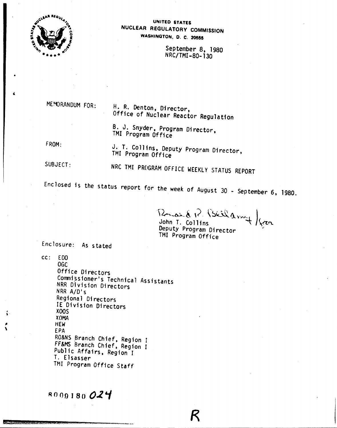

#### UNITED STATES NUCLEAR REGULATORY COMMISSION WASHINGTON, D. C. 20555

September 8. 1980 NRC/TMI-80-130

MEMORANDUM FOR:

H. R. Denton, Director, Office of Nuclear Reactor Regulation

B. J. Snyder, Program Director, TMI Program Office

FROM:

J. T. Collins, Deputy Program Director, TMI Program Office

SUBJECT: NRC TMI PROGRAM OFFICE WEEKLY STATUS REPORT

Enclosed is the status report for the week of August 30 - September 6, 1980.

Rosald R. Buildon of from Deputy Program Director TMI Program Office

Enclosure: As stated

 $cc: EDO$ 

OĠC Office Directors Commissioner's Technical Assistants NRR Division Directors NRR A/D's Regional Directors IE Division Directors XOOS **XOMA HEW** EPA RO&NS Branch Chief, Region I FF&MS Branch Chief, Region I Public Affairs, Region I T. Elsasser TMI Program Office Staff

8000180024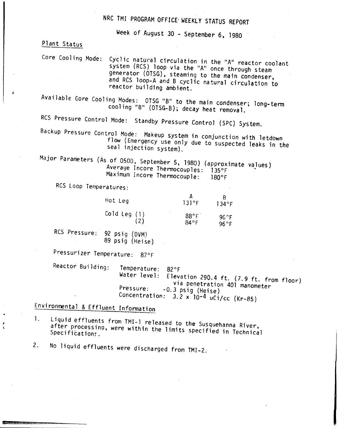# NRC TM! PROGRAM OFFICE' WEEKLY STATUS REPORT

Week of August 30 - September 6, 1980

Plant Status

Core Cooling Mode: Cyclic natural circulation in the "A" reactor coolant system (RCS) loop via the "A" once through steam generator (OTSG), steaming to the main condenser, and RCS loop-A and B cyclic natural circulation to reactor building ambient.

Available Gore Cooling Modes: OTSG "8" to the main condenser; long-term cooling "B" (OTSG-8). decay heat removal.

RCS Pressure Control Mode: Standby Pressure Control (SPC) System.

Backup Pressure Control Mode: Makeup system in conjunction with letdown flow (Emergency use only due to suspected leaks in the seal injection system).

Major Parameters (As of 0500, September 5, 1980) (approximate va)ues) Averaye Incore Thermocouples: 135°F Maximum Incore Thermocouple: 180°F

RCS Loop Temperatures:

| Hot Leg      | 131°F                  | 134°F         |
|--------------|------------------------|---------------|
| Cold Leg (1) | $88^{\circ}$ F<br>84°F | 96.°F<br>96°F |

RCS Pressure: 92 psig (DVM) 89 psig (Heise)

Pressurizer Temperature: 870F

Reactor Building: Temperature: 82°F<br>Water level: Elev. Elevation 290.4 ft. (7.9 ft. from floor) via penetration 401 manometer Pressure: -0.3 psig (Heise) Concentration:  $3.\overline{2} \times 10^{-4}$  uCi/cc (Kr-85)

## Environmental & Effluent Information

1. Liquid effluents from TMI-l released to the Susquehanna River, after processing, were within the limits specified in Technical Specifications.

2. No liquid effluents were discharged from TMI-2.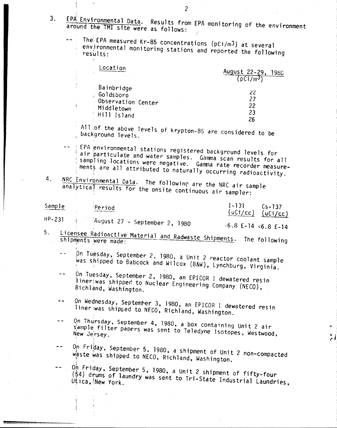3. EPA Environmental Data. Results from EPA monitoring of the environment around the TMI site were as follows: !

Í,

The: EPA measured Kr-85 concentrations (pCi/m3) at several environmental monitoring stations and reported the following

| ∟ocation                                                                   | August 22-29,        |
|----------------------------------------------------------------------------|----------------------|
| $\mathcal{O}$                                                              | D(i/m <sup>3</sup> ) |
| Bainbridge<br>Goldsboro<br>Observation Center<br>Middletown<br>Hill Island | 22<br>21<br>22<br>23 |

All of the above levels of krypton-85 are considered to be background levels.

EPA environmental stations registered backgrcund levels for air particulate and water samples. Gamma scan results for all sampling locations were negative. Gamma rate recorder measurements are all attributed to naturally occurring radioactivity.

4. NRC Environmental Data. The following are the NRC air sample analytical results for the onsite continuous air sampler:

| Sample |                               | Period               | $1 - 131$<br>$(uCi/cc)$ $(uCi/cc)$ | $Cs - 137$ |
|--------|-------------------------------|----------------------|------------------------------------|------------|
| HP-231 |                               |                      |                                    |            |
|        | August 27 - September 2, 1980 | $6.8$ E-14 <6.8 E-14 |                                    |            |

- 5. Licensee Radioactive Material and Radwaste Shipments. The following shipments were made:
	- ,On Tuesday, September 2, 1980, a Unit 2 reactor coolant sample  $\sim$   $\sim$ was shipped to Babcock and Wilcox (B&W), Lynchburg, Virginia.
	- On Tuesday, September 2, 1980, an EPICOR I dewatered resin  $\sim$   $\sim$  $i$ iner $\sqrt{k}$ was shipped to Nuclear Engineering Company (NECO), Richland. Washington.
	- $Q$ n Wednesday, September 3, 1980, an EPICOR I dewatered resin  $-1$ liner;was shipped to NECO, Richland, Washington.
	- Qn Thursday, September 4, 1980, a box containing Unit 2 air  $\ddot{\phantom{1}}$ s<sup>'ample</sup> filter papers was sent to Teledyne Isotopes, Westwood,
	- On Friday, September 5, 1980, a shipment of Unit 2 non-compacted waste was shipped to NECO, Richland, Washington.

りしょう こうしゅう こうしゃ こうしゃ こうしゃ こうしゃ こうしゃ こうしゃ こうしゃ

 $0\frac{1}{r}$  Friday, September 5, 1980, a Unit 2 shipment of fifty-four  $\sim$   $\sim$ (54) drums of laundry was sent to Tri-State Industrial Laundries,

2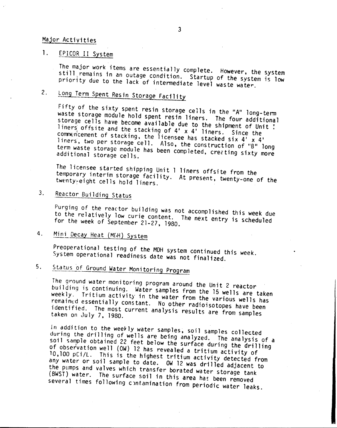#### Major Actiyities

#### 1. EPICOR II System

The major work items are essentially complete. However, the system still remains in an outage condition. Startup of the system is low priority due to the lack of intermediate level waste water.

# 2. Long Term Spent Resin Storage Facility

Fifty of the sixty spent resin storage cells in the "A" long-term waste storage module hold spent resin liners. The four additional storage cells have become available due to the shipment of Unit I liners offsite and the stacking of 4' x 4' liners. Since the commencement of stacking, the licensee has stacked six  $4'$  x  $4'$ liners, two per storage cell. Also, the construction of "B" long term waste storage module has been completed, erecting sixty more additional storage cells.

The licensee started shipping Unit 1 liners offsite from the temporary interim storage facility. At present, twenty-one of the twenty-eight cells hold liners.

## 3. Reactor Building Status

Purging of the reactor building was not accomplished this week due to the relatively low curie content. The next entry is scheduled for the week of September 21-27, 1980.

### 4. Mini Decay Heat (MI<sub>H</sub>) System

Preoperational testing of the MDH system continued this week. System operational readiness date was not finalized.

# 5. Status of Ground Water Monitoring Program

The qround water monitoring program around the Unit 2 reactor building is continuing. Water samples from the 15 wells are taken weekly. Tritium activity in the water from the various wells has remained essentially constant. No other radioisotopes have been identified. The most current analysis results are from samples taken on July 7, 1980.

In addition to the weekly water samples, soil samples collected during the drilling of wells are being analyzed. The analysis of a soil sample obtained 22 feet below the surface during the drilling of observation well (OW) 12 has revealed a tritium activity of 10,100 pCi/L. This is the highest tritium activity detected from any water or soil sample to date. OW 12 was drilled adjacent to the pumps and valves which transfer borated water storage tank  $(BWST)$  water. The surface soil in this area has been removed several times following contamination from periodic water leaks.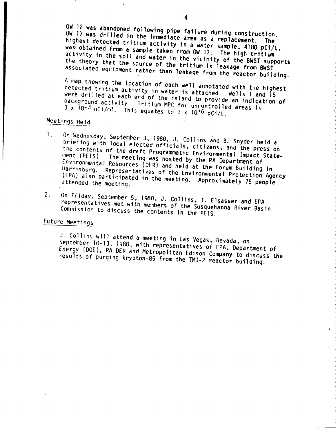OW 12 was abandoned fOllowing pipe failure during construction. OW 17 was drilled in the immediate area as a replacement. The  $\frac{m_{\text{S}}}{m_{\text{S}}}$  detected tritium activity in a water sample, 4180 pCi/l, was obtained from a sample taken from OW 17. The high triffic activity in the soil and water 1n *the* vicinity of the BWST supports the theory that the source of the tritium is leakage from BWST associated equipment rather than leakage from the reactor building.

A map Showing the location of each well annotated with *tile* highest detected tritium activity in water is attached. Wells 1 and 15 were drilled at each end of the island to provide an indication of background activity. Tritium MPC for uncontrolled areas is  $3 \times 10^{-3}$  uCi/m'. This equates to  $3 \times 10^{-6}$  pCi/l.

### Meetings Held

- 1. On Wednesday, September 3, 1980, J. Collins and B. Snyder held a briefing with local elected officials. citizens, and the press on the contents of the draft Programmatic Environmental Impact Statement (PElS). The meeting was hosted by the PA Department of Environmental Resources (DER) and held at the Forum Building in Harrisburg. Representatives of the Environmental Protection Agency (EPA) also participated in the meeting. Approximately <sup>75</sup> people attended the meeting.
- 2. On Friday, September 5, 1980, J. Collins, T. Elsasser and EPA representatives met with members of the Susquehanna River Basin Commission to discuss the contents in the PElS.

### Future Meet ings

J. Collins will attend a meeting in Las Vegas, Nevada, on September 10-13. 1980, with representatives of EPA, Department of Energy (DOE), PA OER and Metropolitan Edison Company to discuss the results of purging krypton-8S from the TMI-2 reactor building.